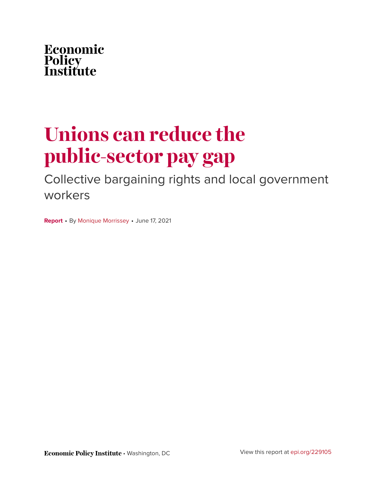

# **Unions can reduce the public-sector pay gap**

Collective bargaining rights and local government workers

**Report** • By [Monique Morrissey](https://www.epi.org/people/monique-morrissey/) • June 17, 2021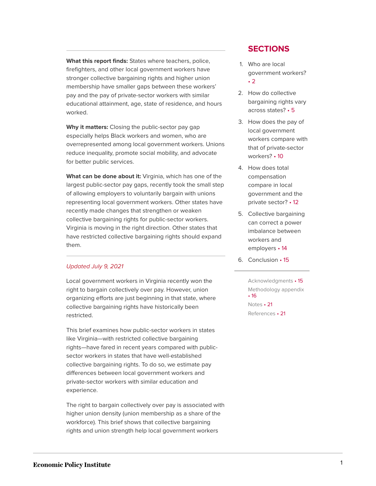**What this report finds:** States where teachers, police, firefighters, and other local government workers have stronger collective bargaining rights and higher union membership have smaller gaps between these workers' pay and the pay of private-sector workers with similar educational attainment, age, state of residence, and hours worked.

**Why it matters:** Closing the public-sector pay gap especially helps Black workers and women, who are overrepresented among local government workers. Unions reduce inequality, promote social mobility, and advocate for better public services.

**What can be done about it:** Virginia, which has one of the largest public-sector pay gaps, recently took the small step of allowing employers to voluntarily bargain with unions representing local government workers. Other states have recently made changes that strengthen or weaken collective bargaining rights for public-sector workers. Virginia is moving in the right direction. Other states that have restricted collective bargaining rights should expand them.

#### [Updated July 9, 2021](#page-24-0)

Local government workers in Virginia recently won the right to bargain collectively over pay. However, union organizing efforts are just beginning in that state, where collective bargaining rights have historically been restricted.

This brief examines how public-sector workers in states like Virginia—with restricted collective bargaining rights—have fared in recent years compared with publicsector workers in states that have well-established collective bargaining rights. To do so, we estimate pay differences between local government workers and private-sector workers with similar education and experience.

The right to bargain collectively over pay is associated with higher union density (union membership as a share of the workforce). This brief shows that collective bargaining rights and union strength help local government workers

#### **SECTIONS**

- 1. [Who are local](#page-2-0) [government workers?](#page-2-0) • [2](#page-2-0)
- 2. [How do collective](#page-5-0) [bargaining rights vary](#page-5-0) [across states?](#page-5-0) • 5
- 3. [How does the pay of](#page-10-0) [local government](#page-10-0) [workers compare with](#page-10-0) [that of private-sector](#page-10-0) [workers?](#page-10-0) • 10
- 4. [How does total](#page-12-0) [compensation](#page-12-0) [compare in local](#page-12-0) [government and the](#page-12-0) [private sector?](#page-12-0) • 12
- 5. [Collective bargaining](#page-14-0) [can correct a power](#page-14-0) [imbalance between](#page-14-0) [workers and](#page-14-0) [employers](#page-14-0) • 14
- 6. [Conclusion](#page-15-0) 15

[Acknowledgments](#page-15-1) • 15 [Methodology appendix](#page-16-0) • [16](#page-16-0) [Notes](#page-21-0) • 21 [References](#page-21-1) • 21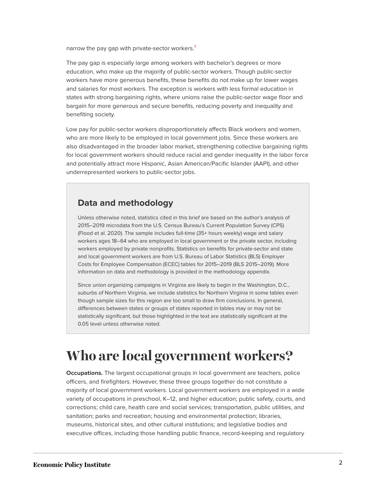<span id="page-2-1"></span>narrow the pay gap with private-sector workers.<sup>[1](#page-21-2)</sup>

The pay gap is especially large among workers with bachelor's degrees or more education, who make up the majority of public-sector workers. Though public-sector workers have more generous benefits, these benefits do not make up for lower wages and salaries for most workers. The exception is workers with less formal education in states with strong bargaining rights, where unions raise the public-sector wage floor and bargain for more generous and secure benefits, reducing poverty and inequality and benefiting society.

Low pay for public-sector workers disproportionately affects Black workers and women, who are more likely to be employed in local government jobs. Since these workers are also disadvantaged in the broader labor market, strengthening collective bargaining rights for local government workers should reduce racial and gender inequality in the labor force and potentially attract more Hispanic, Asian American/Pacific Islander (AAPI), and other underrepresented workers to public-sector jobs.

#### **Data and methodology**

Unless otherwise noted, statistics cited in this brief are based on the author's analysis of 2015–2019 microdata from the U.S. Census Bureau's Current Population Survey (CPS) (Flood et al. 2020). The sample includes full-time (35+ hours weekly) wage and salary workers ages 18–64 who are employed in local government or the private sector, including workers employed by private nonprofits. Statistics on benefits for private-sector and state and local government workers are from U.S. Bureau of Labor Statistics (BLS) Employer Costs for Employee Compensation (ECEC) tables for 2015–2019 (BLS 2015–2019). More information on data and methodology is provided in the methodology appendix.

Since union organizing campaigns in Virginia are likely to begin in the Washington, D.C., suburbs of Northern Virginia, we include statistics for Northern Virginia in some tables even though sample sizes for this region are too small to draw firm conclusions. In general, differences between states or groups of states reported in tables may or may not be statistically significant, but those highlighted in the text are statistically significant at the 0.05 level unless otherwise noted.

# <span id="page-2-0"></span>**Who are local government workers?**

**Occupations.** The largest occupational groups in local government are teachers, police officers, and firefighters. However, these three groups together do not constitute a majority of local government workers. Local government workers are employed in a wide variety of occupations in preschool, K–12, and higher education; public safety, courts, and corrections; child care, health care and social services; transportation, public utilities, and sanitation; parks and recreation; housing and environmental protection; libraries, museums, historical sites, and other cultural institutions; and legislative bodies and executive offices, including those handling public finance, record-keeping and regulatory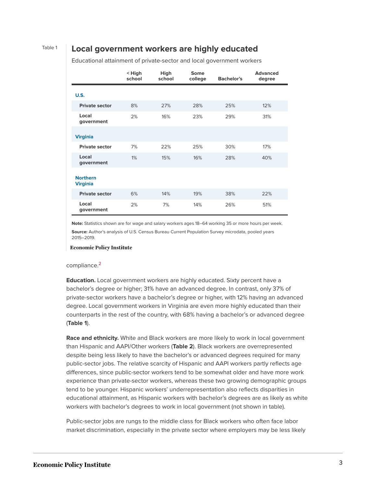#### Table 1 **Local government workers are highly educated**

|                                    | $<$ High<br>school | High<br>school | <b>Some</b><br>college | <b>Bachelor's</b> | <b>Advanced</b><br>degree |
|------------------------------------|--------------------|----------------|------------------------|-------------------|---------------------------|
| <b>U.S.</b>                        |                    |                |                        |                   |                           |
| <b>Private sector</b>              | 8%                 | 27%            | 28%                    | 25%               | 12%                       |
| Local<br>government                | 2%                 | 16%            | 23%                    | 29%               | 31%                       |
| <b>Virginia</b>                    |                    |                |                        |                   |                           |
| <b>Private sector</b>              | 7%                 | 22%            | 25%                    | 30%               | 17%                       |
| Local<br>government                | $1\%$              | 15%            | 16%                    | 28%               | 40%                       |
| <b>Northern</b><br><b>Virginia</b> |                    |                |                        |                   |                           |
| <b>Private sector</b>              | 6%                 | 14%            | 19%                    | 38%               | 22%                       |
| Local<br>government                | 2%                 | 7%             | 14%                    | 26%               | 51%                       |

Educational attainment of private-sector and local government workers

**Note:** Statistics shown are for wage and salary workers ages 18–64 working 35 or more hours per week. **Source:** Author's analysis of U.S. Census Bureau Current Population Survey microdata, pooled years 2015–2019.

#### **Economic Policy Institute**

#### <span id="page-3-0"></span>compliance. [2](#page-21-3)

**Education.** Local government workers are highly educated. Sixty percent have a bachelor's degree or higher; 31% have an advanced degree. In contrast, only 37% of private-sector workers have a bachelor's degree or higher, with 12% having an advanced degree. Local government workers in Virginia are even more highly educated than their counterparts in the rest of the country, with 68% having a bachelor's or advanced degree (**Table 1**).

**Race and ethnicity.** White and Black workers are more likely to work in local government than Hispanic and AAPI/Other workers (**Table 2**). Black workers are overrepresented despite being less likely to have the bachelor's or advanced degrees required for many public-sector jobs. The relative scarcity of Hispanic and AAPI workers partly reflects age differences, since public-sector workers tend to be somewhat older and have more work experience than private-sector workers, whereas these two growing demographic groups tend to be younger. Hispanic workers' underrepresentation also reflects disparities in educational attainment, as Hispanic workers with bachelor's degrees are as likely as white workers with bachelor's degrees to work in local government (not shown in table).

Public-sector jobs are rungs to the middle class for Black workers who often face labor market discrimination, especially in the private sector where employers may be less likely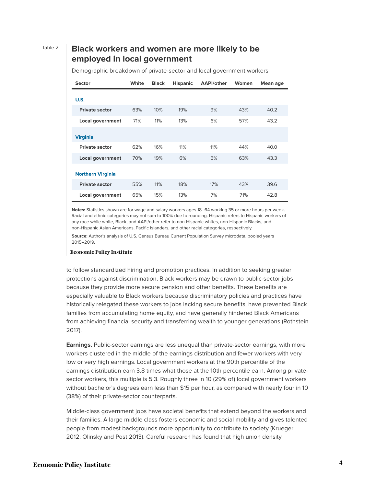#### Table 2 **Black workers and women are more likely to be employed in local government**

| <b>Sector</b>            | White | <b>Black</b> | <b>Hispanic</b> | <b>AAPI/other</b> | Women | Mean age |
|--------------------------|-------|--------------|-----------------|-------------------|-------|----------|
| U.S.                     |       |              |                 |                   |       |          |
| <b>Private sector</b>    | 63%   | 10%          | 19%             | 9%                | 43%   | 40.2     |
| <b>Local government</b>  | 71%   | 11%          | 13%             | 6%                | 57%   | 43.2     |
| <b>Virginia</b>          |       |              |                 |                   |       |          |
| <b>Private sector</b>    | 62%   | 16%          | 11%             | 11%               | 44%   | 40.0     |
| <b>Local government</b>  | 70%   | 19%          | 6%              | 5%                | 63%   | 43.3     |
| <b>Northern Virginia</b> |       |              |                 |                   |       |          |
| <b>Private sector</b>    | 55%   | 11%          | 18%             | 17%               | 43%   | 39.6     |
| Local government         | 65%   | 15%          | 13%             | 7%                | 71%   | 42.8     |

Demographic breakdown of private-sector and local government workers

**Notes:** Statistics shown are for wage and salary workers ages 18–64 working 35 or more hours per week. Racial and ethnic categories may not sum to 100% due to rounding. Hispanic refers to Hispanic workers of any race while white, Black, and AAPI/other refer to non-Hispanic whites, non-Hispanic Blacks, and non-Hispanic Asian Americans, Pacific Islanders, and other racial categories, respectively.

**Source:** Author's analysis of U.S. Census Bureau Current Population Survey microdata, pooled years 2015–2019.

#### **Economic Policy Institute**

to follow standardized hiring and promotion practices. In addition to seeking greater protections against discrimination, Black workers may be drawn to public-sector jobs because they provide more secure pension and other benefits. These benefits are especially valuable to Black workers because discriminatory policies and practices have historically relegated these workers to jobs lacking secure benefits, have prevented Black families from accumulating home equity, and have generally hindered Black Americans from achieving financial security and transferring wealth to younger generations (Rothstein 2017).

**Earnings.** Public-sector earnings are less unequal than private-sector earnings, with more workers clustered in the middle of the earnings distribution and fewer workers with very low or very high earnings. Local government workers at the 90th percentile of the earnings distribution earn 3.8 times what those at the 10th percentile earn. Among privatesector workers, this multiple is 5.3. Roughly three in 10 (29% of) local government workers without bachelor's degrees earn less than \$15 per hour, as compared with nearly four in 10 (38%) of their private-sector counterparts.

Middle-class government jobs have societal benefits that extend beyond the workers and their families. A large middle class fosters economic and social mobility and gives talented people from modest backgrounds more opportunity to contribute to society (Krueger 2012; Olinsky and Post 2013). Careful research has found that high union density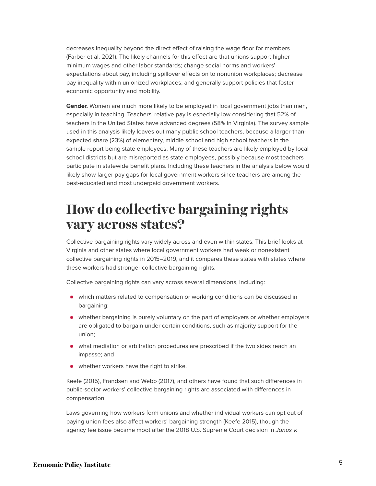decreases inequality beyond the direct effect of raising the wage floor for members (Farber et al. 2021). The likely channels for this effect are that unions support higher minimum wages and other labor standards; change social norms and workers' expectations about pay, including spillover effects on to nonunion workplaces; decrease pay inequality within unionized workplaces; and generally support policies that foster economic opportunity and mobility.

**Gender.** Women are much more likely to be employed in local government jobs than men, especially in teaching. Teachers' relative pay is especially low considering that 52% of teachers in the United States have advanced degrees (58% in Virginia). The survey sample used in this analysis likely leaves out many public school teachers, because a larger-thanexpected share (23%) of elementary, middle school and high school teachers in the sample report being state employees. Many of these teachers are likely employed by local school districts but are misreported as state employees, possibly because most teachers participate in statewide benefit plans. Including these teachers in the analysis below would likely show larger pay gaps for local government workers since teachers are among the best-educated and most underpaid government workers.

# <span id="page-5-0"></span>**How do collective bargaining rights vary across states?**

Collective bargaining rights vary widely across and even within states. This brief looks at Virginia and other states where local government workers had weak or nonexistent collective bargaining rights in 2015–2019, and it compares these states with states where these workers had stronger collective bargaining rights.

Collective bargaining rights can vary across several dimensions, including:

- which matters related to compensation or working conditions can be discussed in bargaining;
- whether bargaining is purely voluntary on the part of employers or whether employers are obligated to bargain under certain conditions, such as majority support for the union;
- what mediation or arbitration procedures are prescribed if the two sides reach an impasse; and
- whether workers have the right to strike.

Keefe (2015), Frandsen and Webb (2017), and others have found that such differences in public-sector workers' collective bargaining rights are associated with differences in compensation.

Laws governing how workers form unions and whether individual workers can opt out of paying union fees also affect workers' bargaining strength (Keefe 2015), though the agency fee issue became moot after the 2018 U.S. Supreme Court decision in Janus v.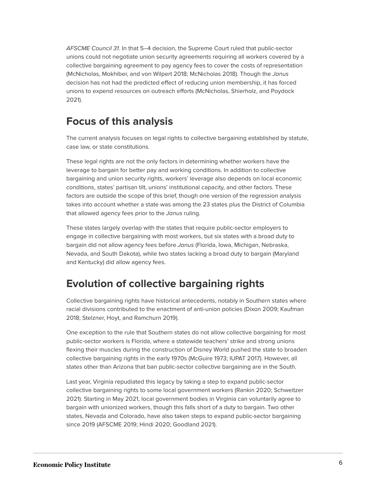AFSCME Council 31. In that 5–4 decision, the Supreme Court ruled that public-sector unions could not negotiate union security agreements requiring all workers covered by a collective bargaining agreement to pay agency fees to cover the costs of representation (McNicholas, Mokhiber, and von Wilpert 2018; McNicholas 2018). Though the Janus decision has not had the predicted effect of reducing union membership, it has forced unions to expend resources on outreach efforts (McNicholas, Shierholz, and Poydock 2021).

### **Focus of this analysis**

The current analysis focuses on legal rights to collective bargaining established by statute, case law, or state constitutions.

These legal rights are not the only factors in determining whether workers have the leverage to bargain for better pay and working conditions. In addition to collective bargaining and union security rights, workers' leverage also depends on local economic conditions, states' partisan tilt, unions' institutional capacity, and other factors. These factors are outside the scope of this brief, though one version of the regression analysis takes into account whether a state was among the 23 states plus the District of Columbia that allowed agency fees prior to the Janus ruling.

These states largely overlap with the states that require public-sector employers to engage in collective bargaining with most workers, but six states with a broad duty to bargain did not allow agency fees before Janus (Florida, Iowa, Michigan, Nebraska, Nevada, and South Dakota), while two states lacking a broad duty to bargain (Maryland and Kentucky) did allow agency fees.

### **Evolution of collective bargaining rights**

Collective bargaining rights have historical antecedents, notably in Southern states where racial divisions contributed to the enactment of anti-union policies (Dixon 2009; Kaufman 2018; Stelzner, Hoyt, and Ramchurn 2019).

One exception to the rule that Southern states do not allow collective bargaining for most public-sector workers is Florida, where a statewide teachers' strike and strong unions flexing their muscles during the construction of Disney World pushed the state to broaden collective bargaining rights in the early 1970s (McGuire 1973; IUPAT 2017). However, all states other than Arizona that ban public-sector collective bargaining are in the South.

Last year, Virginia repudiated this legacy by taking a step to expand public-sector collective bargaining rights to some local government workers (Rankin 2020; Schweitzer 2021). Starting in May 2021, local government bodies in Virginia can voluntarily agree to bargain with unionized workers, though this falls short of a duty to bargain. Two other states, Nevada and Colorado, have also taken steps to expand public-sector bargaining since 2019 (AFSCME 2019; Hindi 2020; Goodland 2021).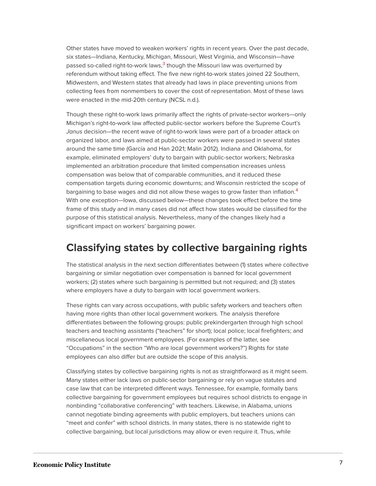<span id="page-7-0"></span>Other states have moved to weaken workers' rights in recent years. Over the past decade, six states—Indiana, Kentucky, Michigan, Missouri, West Virginia, and Wisconsin—have passed so-called right-to-work laws, $^3$  $^3$  though the Missouri law was overturned by referendum without taking effect. The five new right-to-work states joined 22 Southern, Midwestern, and Western states that already had laws in place preventing unions from collecting fees from nonmembers to cover the cost of representation. Most of these laws were enacted in the mid-20th century (NCSL n.d.).

Though these right-to-work laws primarily affect the rights of private-sector workers—only Michigan's right-to-work law affected public-sector workers before the Supreme Court's Janus decision—the recent wave of right-to-work laws were part of a broader attack on organized labor, and laws aimed at public-sector workers were passed in several states around the same time (García and Han 2021; Malin 2012). Indiana and Oklahoma, for example, eliminated employers' duty to bargain with public-sector workers; Nebraska implemented an arbitration procedure that limited compensation increases unless compensation was below that of comparable communities, and it reduced these compensation targets during economic downturns; and Wisconsin restricted the scope of bargaining to base wages and did not allow these wages to grow faster than inflation.<sup>[4](#page-21-5)</sup> With one exception—Iowa, discussed below—these changes took effect before the time frame of this study and in many cases did not affect how states would be classified for the purpose of this statistical analysis. Nevertheless, many of the changes likely had a significant impact on workers' bargaining power.

### <span id="page-7-1"></span>**Classifying states by collective bargaining rights**

The statistical analysis in the next section differentiates between (1) states where collective bargaining or similar negotiation over compensation is banned for local government workers; (2) states where such bargaining is permitted but not required; and (3) states where employers have a duty to bargain with local government workers.

These rights can vary across occupations, with public safety workers and teachers often having more rights than other local government workers. The analysis therefore differentiates between the following groups: public prekindergarten through high school teachers and teaching assistants ("teachers" for short); local police; local firefighters; and miscellaneous local government employees. (For examples of the latter, see "Occupations" in the section "Who are local government workers?") Rights for state employees can also differ but are outside the scope of this analysis.

Classifying states by collective bargaining rights is not as straightforward as it might seem. Many states either lack laws on public-sector bargaining or rely on vague statutes and case law that can be interpreted different ways. Tennessee, for example, formally bans collective bargaining for government employees but requires school districts to engage in nonbinding "collaborative conferencing" with teachers. Likewise, in Alabama, unions cannot negotiate binding agreements with public employers, but teachers unions can "meet and confer" with school districts. In many states, there is no statewide right to collective bargaining, but local jurisdictions may allow or even require it. Thus, while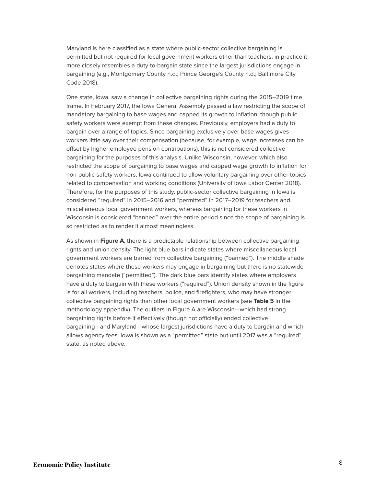Maryland is here classified as a state where public-sector collective bargaining is permitted but not required for local government workers other than teachers, in practice it more closely resembles a duty-to-bargain state since the largest jurisdictions engage in bargaining (e.g., Montgomery County n.d.; Prince George's County n.d.; Baltimore City Code 2018).

One state, Iowa, saw a change in collective bargaining rights during the 2015–2019 time frame. In February 2017, the Iowa General Assembly passed a law restricting the scope of mandatory bargaining to base wages and capped its growth to inflation, though public safety workers were exempt from these changes. Previously, employers had a duty to bargain over a range of topics. Since bargaining exclusively over base wages gives workers little say over their compensation (because, for example, wage increases can be offset by higher employee pension contributions), this is not considered collective bargaining for the purposes of this analysis. Unlike Wisconsin, however, which also restricted the scope of bargaining to base wages and capped wage growth to inflation for non-public-safety workers, Iowa continued to allow voluntary bargaining over other topics related to compensation and working conditions (University of Iowa Labor Center 2018). Therefore, for the purposes of this study, public-sector collective bargaining in Iowa is considered "required" in 2015–2016 and "permitted" in 2017–2019 for teachers and miscellaneous local government workers, whereas bargaining for these workers in Wisconsin is considered "banned" over the entire period since the scope of bargaining is so restricted as to render it almost meaningless.

As shown in **Figure A**, there is a predictable relationship between collective bargaining rights and union density. The light blue bars indicate states where miscellaneous local government workers are barred from collective bargaining ("banned"). The middle shade denotes states where these workers may engage in bargaining but there is no statewide bargaining mandate ("permitted"). The dark blue bars identify states where employers have a duty to bargain with these workers ("required"). Union density shown in the figure is for all workers, including teachers, police, and firefighters, who may have stronger collective bargaining rights than other local government workers (see **Table 5** in the methodology appendix). The outliers in Figure A are Wisconsin—which had strong bargaining rights before it effectively (though not officially) ended collective bargaining—and Maryland—whose largest jurisdictions have a duty to bargain and which allows agency fees. Iowa is shown as a "permitted" state but until 2017 was a "required" state, as noted above.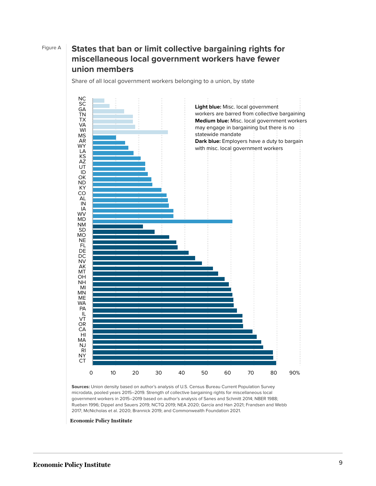### Figure A **States that ban or limit collective bargaining rights for miscellaneous local government workers have fewer union members**

Share of all local government workers belonging to a union, by state



**Sources:** Union density based on author's analysis of U.S. Census Bureau Current Population Survey microdata, pooled years 2015–2019. Strength of collective bargaining rights for miscellaneous local government workers in 2015–2019 based on author's analysis of Sanes and Schmitt 2014; NBER 1988; Rueben 1996; Dippel and Sauers 2019; NCTQ 2019; NEA 2020; García and Han 2021; Frandsen and Webb 2017; McNicholas et al. 2020; Brannick 2019; and Commonwealth Foundation 2021.

**Economic Policy Institute**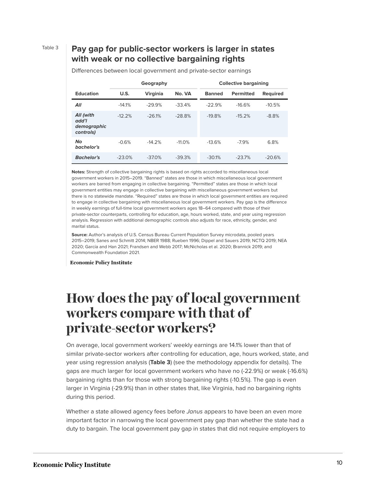#### Table 3 **Pay gap for public-sector workers is larger in states with weak or no collective bargaining rights**

|                                                | Geography |                 |          | <b>Collective bargaining</b> |                  |                 |
|------------------------------------------------|-----------|-----------------|----------|------------------------------|------------------|-----------------|
| <b>Education</b>                               | U.S.      | <b>Virginia</b> | No. VA   | <b>Banned</b>                | <b>Permitted</b> | <b>Required</b> |
| All                                            | $-14.1%$  | $-29.9%$        | $-33.4%$ | $-22.9%$                     | $-16.6%$         | $-10.5%$        |
| All (with<br>add'l<br>demographic<br>controls) | $-12.2%$  | $-26.1%$        | $-28.8%$ | $-19.8%$                     | $-15.2%$         | $-8.8%$         |
| <b>No</b><br>bachelor's                        | $-0.6%$   | $-14.2%$        | $-11.0%$ | $-13.6%$                     | $-7.9%$          | 6.8%            |
| <b>Bachelor's</b>                              | $-23.0%$  | $-37.0%$        | $-39.3%$ | $-30.1%$                     | $-23.7%$         | $-20.6%$        |

Differences between local government and private-sector earnings

**Notes:** Strength of collective bargaining rights is based on rights accorded to miscellaneous local government workers in 2015–2019. "Banned" states are those in which miscellaneous local government workers are barred from engaging in collective bargaining. "Permitted" states are those in which local government entities may engage in collective bargaining with miscellaneous government workers but there is no statewide mandate. "Required" states are those in which local government entities are required to engage in collective bargaining with miscellaneous local government workers. Pay gap is the difference in weekly earnings of full-time local government workers ages 18–64 compared with those of their private-sector counterparts, controlling for education, age, hours worked, state, and year using regression analysis. Regression with additional demographic controls also adjusts for race, ethnicity, gender, and marital status.

**Source:** Author's analysis of U.S. Census Bureau Current Population Survey microdata, pooled years 2015–2019; Sanes and Schmitt 2014; NBER 1988; Rueben 1996; Dippel and Sauers 2019; NCTQ 2019; NEA 2020; García and Han 2021; Frandsen and Webb 2017; McNicholas et al. 2020; Brannick 2019; and Commonwealth Foundation 2021.

**Economic Policy Institute** 

## <span id="page-10-0"></span>**How does the pay of local government workers compare with that of private-sector workers?**

On average, local government workers' weekly earnings are 14.1% lower than that of similar private-sector workers after controlling for education, age, hours worked, state, and year using regression analysis (**Table 3**) (see the methodology appendix for details). The gaps are much larger for local government workers who have no (-22.9%) or weak (-16.6%) bargaining rights than for those with strong bargaining rights (-10.5%). The gap is even larger in Virginia (-29.9%) than in other states that, like Virginia, had no bargaining rights during this period.

Whether a state allowed agency fees before Janus appears to have been an even more important factor in narrowing the local government pay gap than whether the state had a duty to bargain. The local government pay gap in states that did not require employers to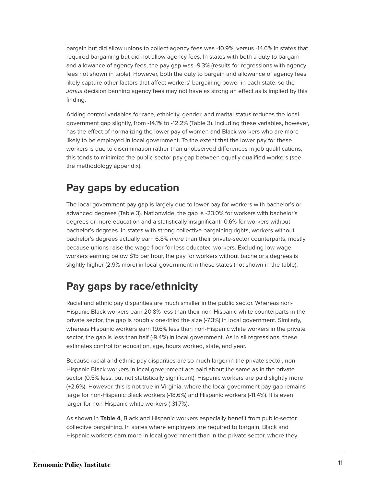bargain but did allow unions to collect agency fees was -10.9%, versus -14.6% in states that required bargaining but did not allow agency fees. In states with both a duty to bargain and allowance of agency fees, the pay gap was -9.3% (results for regressions with agency fees not shown in table). However, both the duty to bargain and allowance of agency fees likely capture other factors that affect workers' bargaining power in each state, so the Janus decision banning agency fees may not have as strong an effect as is implied by this finding.

Adding control variables for race, ethnicity, gender, and marital status reduces the local government gap slightly, from -14.1% to -12.2% (Table 3). Including these variables, however, has the effect of normalizing the lower pay of women and Black workers who are more likely to be employed in local government. To the extent that the lower pay for these workers is due to discrimination rather than unobserved differences in job qualifications, this tends to minimize the public-sector pay gap between equally qualified workers (see the methodology appendix).

### **Pay gaps by education**

The local government pay gap is largely due to lower pay for workers with bachelor's or advanced degrees (Table 3). Nationwide, the gap is -23.0% for workers with bachelor's degrees or more education and a statistically insignificant -0.6% for workers without bachelor's degrees. In states with strong collective bargaining rights, workers without bachelor's degrees actually earn 6.8% more than their private-sector counterparts, mostly because unions raise the wage floor for less educated workers. Excluding low-wage workers earning below \$15 per hour, the pay for workers without bachelor's degrees is slightly higher (2.9% more) in local government in these states (not shown in the table).

### **Pay gaps by race/ethnicity**

Racial and ethnic pay disparities are much smaller in the public sector. Whereas non-Hispanic Black workers earn 20.8% less than their non-Hispanic white counterparts in the private sector, the gap is roughly one-third the size (-7.3%) in local government. Similarly, whereas Hispanic workers earn 19.6% less than non-Hispanic white workers in the private sector, the gap is less than half (-9.4%) in local government. As in all regressions, these estimates control for education, age, hours worked, state, and year.

Because racial and ethnic pay disparities are so much larger in the private sector, non-Hispanic Black workers in local government are paid about the same as in the private sector (0.5% less, but not statistically significant). Hispanic workers are paid slightly more (+2.6%). However, this is not true in Virginia, where the local government pay gap remains large for non-Hispanic Black workers (-18.6%) and Hispanic workers (-11.4%). It is even larger for non-Hispanic white workers (-31.7%).

As shown in **Table 4**, Black and Hispanic workers especially benefit from public-sector collective bargaining. In states where employers are required to bargain, Black and Hispanic workers earn more in local government than in the private sector, where they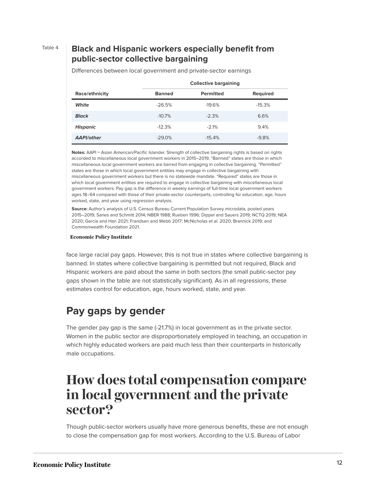#### Table 4 **Black and Hispanic workers especially benefit from public-sector collective bargaining**

|                   | <b>Collective bargaining</b> |                  |          |  |  |
|-------------------|------------------------------|------------------|----------|--|--|
| Race/ethnicity    | <b>Banned</b>                | <b>Permitted</b> | Required |  |  |
| White             | $-26.5%$                     | $-19.6%$         | $-15.3%$ |  |  |
| <b>Black</b>      | $-10.7\%$                    | $-2.3%$          | 6.6%     |  |  |
| <b>Hispanic</b>   | $-12.3%$                     | $-2.1%$          | 9.4%     |  |  |
| <b>AAPI/other</b> | $-29.0%$                     | $-15.4%$         | $-9.8%$  |  |  |

Differences between local government and private-sector earnings

**Notes:** AAPI = Asian American/Pacific Islander. Strength of collective bargaining rights is based on rights accorded to miscellaneous local government workers in 2015–2019. "Banned" states are those in which miscellaneous local government workers are barred from engaging in collective bargaining. "Permitted" states are those in which local government entities may engage in collective bargaining with miscellaneous government workers but there is no statewide mandate. "Required" states are those in which local government entities are required to engage in collective bargaining with miscellaneous local government workers. Pay gap is the difference in weekly earnings of full-time local government workers ages 18–64 compared with those of their private-sector counterparts, controlling for education, age, hours worked, state, and year using regression analysis.

**Source:** Author's analysis of U.S. Census Bureau Current Population Survey microdata, pooled years 2015–2019; Sanes and Schmitt 2014; NBER 1988; Rueben 1996; Dippel and Sauers 2019; NCTQ 2019; NEA 2020; García and Han 2021; Frandsen and Webb 2017; McNicholas et al. 2020; Brannick 2019; and Commonwealth Foundation 2021.

#### **Economic Policy Institute**

face large racial pay gaps. However, this is not true in states where collective bargaining is banned. In states where collective bargaining is permitted but not required, Black and Hispanic workers are paid about the same in both sectors (the small public-sector pay gaps shown in the table are not statistically significant). As in all regressions, these estimates control for education, age, hours worked, state, and year.

### **Pay gaps by gender**

The gender pay gap is the same (-21.7%) in local government as in the private sector. Women in the public sector are disproportionately employed in teaching, an occupation in which highly educated workers are paid much less than their counterparts in historically male occupations.

### <span id="page-12-0"></span>**How does total compensation compare in local government and the private sector?**

Though public-sector workers usually have more generous benefits, these are not enough to close the compensation gap for most workers. According to the U.S. Bureau of Labor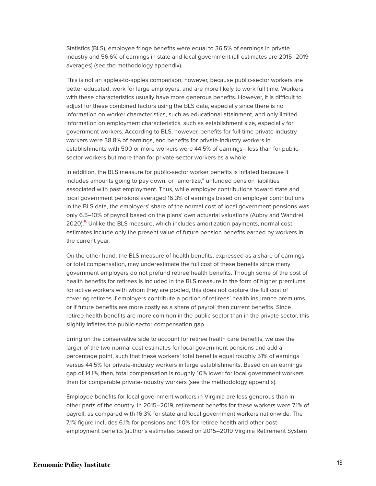Statistics (BLS), employee fringe benefits were equal to 36.5% of earnings in private industry and 56.6% of earnings in state and local government (all estimates are 2015–2019 averages) (see the methodology appendix).

This is not an apples-to-apples comparison, however, because public-sector workers are better educated, work for large employers, and are more likely to work full time. Workers with these characteristics usually have more generous benefits. However, it is difficult to adjust for these combined factors using the BLS data, especially since there is no information on worker characteristics, such as educational attainment, and only limited information on employment characteristics, such as establishment size, especially for government workers. According to BLS, however, benefits for full-time private-industry workers were 38.8% of earnings, and benefits for private-industry workers in establishments with 500 or more workers were 44.5% of earnings—less than for publicsector workers but more than for private-sector workers as a whole.

In addition, the BLS measure for public-sector worker benefits is inflated because it includes amounts going to pay down, or "amortize," unfunded pension liabilities associated with past employment. Thus, while employer contributions toward state and local government pensions averaged 16.3% of earnings based on employer contributions in the BLS data, the employers' share of the normal cost of local government pensions was only 6.5–10% of payroll based on the plans' own actuarial valuations (Aubry and Wandrei 2020).<sup>[5](#page-21-6)</sup> Unlike the BLS measure, which includes amortization payments, normal cost estimates include only the present value of future pension benefits earned by workers in the current year.

<span id="page-13-0"></span>On the other hand, the BLS measure of health benefits, expressed as a share of earnings or total compensation, may underestimate the full cost of these benefits since many government employers do not prefund retiree health benefits. Though some of the cost of health benefits for retirees is included in the BLS measure in the form of higher premiums for active workers with whom they are pooled, this does not capture the full cost of covering retirees if employers contribute a portion of retirees' health insurance premiums or if future benefits are more costly as a share of payroll than current benefits. Since retiree health benefits are more common in the public sector than in the private sector, this slightly inflates the public-sector compensation gap.

Erring on the conservative side to account for retiree health care benefits, we use the larger of the two normal cost estimates for local government pensions and add a percentage point, such that these workers' total benefits equal roughly 51% of earnings versus 44.5% for private-industry workers in large establishments. Based on an earnings gap of 14.1%, then, total compensation is roughly 10% lower for local government workers than for comparable private-industry workers (see the methodology appendix).

Employee benefits for local government workers in Virginia are less generous than in other parts of the country. In 2015–2019, retirement benefits for these workers were 7.1% of payroll, as compared with 16.3% for state and local government workers nationwide. The 7.1% figure includes 6.1% for pensions and 1.0% for retiree health and other postemployment benefits (author's estimates based on 2015–2019 Virginia Retirement System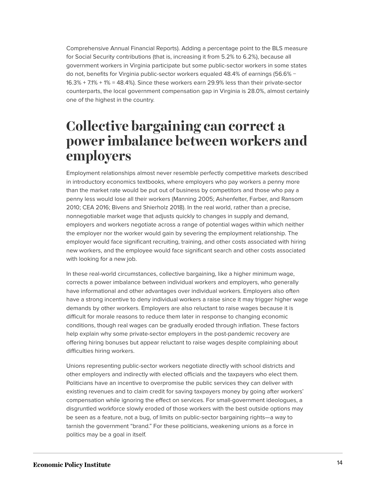Comprehensive Annual Financial Reports). Adding a percentage point to the BLS measure for Social Security contributions (that is, increasing it from 5.2% to 6.2%), because all government workers in Virginia participate but some public-sector workers in some states do not, benefits for Virginia public-sector workers equaled 48.4% of earnings (56.6% − 16.3% + 7.1% + 1% = 48.4%). Since these workers earn 29.9% less than their private-sector counterparts, the local government compensation gap in Virginia is 28.0%, almost certainly one of the highest in the country.

## <span id="page-14-0"></span>**Collective bargaining can correct a power imbalance between workers and employers**

Employment relationships almost never resemble perfectly competitive markets described in introductory economics textbooks, where employers who pay workers a penny more than the market rate would be put out of business by competitors and those who pay a penny less would lose all their workers (Manning 2005; Ashenfelter, Farber, and Ransom 2010; CEA 2016; Bivens and Shierholz 2018). In the real world, rather than a precise, nonnegotiable market wage that adjusts quickly to changes in supply and demand, employers and workers negotiate across a range of potential wages within which neither the employer nor the worker would gain by severing the employment relationship. The employer would face significant recruiting, training, and other costs associated with hiring new workers, and the employee would face significant search and other costs associated with looking for a new job.

In these real-world circumstances, collective bargaining, like a higher minimum wage, corrects a power imbalance between individual workers and employers, who generally have informational and other advantages over individual workers. Employers also often have a strong incentive to deny individual workers a raise since it may trigger higher wage demands by other workers. Employers are also reluctant to raise wages because it is difficult for morale reasons to reduce them later in response to changing economic conditions, though real wages can be gradually eroded through inflation. These factors help explain why some private-sector employers in the post-pandemic recovery are offering hiring bonuses but appear reluctant to raise wages despite complaining about difficulties hiring workers.

Unions representing public-sector workers negotiate directly with school districts and other employers and indirectly with elected officials and the taxpayers who elect them. Politicians have an incentive to overpromise the public services they can deliver with existing revenues and to claim credit for saving taxpayers money by going after workers' compensation while ignoring the effect on services. For small-government ideologues, a disgruntled workforce slowly eroded of those workers with the best outside options may be seen as a feature, not a bug, of limits on public-sector bargaining rights—a way to tarnish the government "brand." For these politicians, weakening unions as a force in politics may be a goal in itself.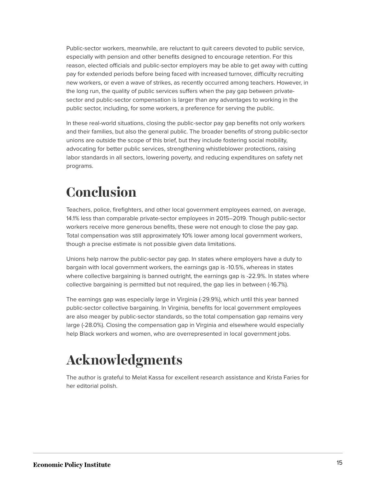Public-sector workers, meanwhile, are reluctant to quit careers devoted to public service, especially with pension and other benefits designed to encourage retention. For this reason, elected officials and public-sector employers may be able to get away with cutting pay for extended periods before being faced with increased turnover, difficulty recruiting new workers, or even a wave of strikes, as recently occurred among teachers. However, in the long run, the quality of public services suffers when the pay gap between privatesector and public-sector compensation is larger than any advantages to working in the public sector, including, for some workers, a preference for serving the public.

In these real-world situations, closing the public-sector pay gap benefits not only workers and their families, but also the general public. The broader benefits of strong public-sector unions are outside the scope of this brief, but they include fostering social mobility, advocating for better public services, strengthening whistleblower protections, raising labor standards in all sectors, lowering poverty, and reducing expenditures on safety net programs.

# <span id="page-15-0"></span>**Conclusion**

Teachers, police, firefighters, and other local government employees earned, on average, 14.1% less than comparable private-sector employees in 2015–2019. Though public-sector workers receive more generous benefits, these were not enough to close the pay gap. Total compensation was still approximately 10% lower among local government workers, though a precise estimate is not possible given data limitations.

Unions help narrow the public-sector pay gap. In states where employers have a duty to bargain with local government workers, the earnings gap is -10.5%, whereas in states where collective bargaining is banned outright, the earnings gap is -22.9%. In states where collective bargaining is permitted but not required, the gap lies in between (-16.7%).

The earnings gap was especially large in Virginia (-29.9%), which until this year banned public-sector collective bargaining. In Virginia, benefits for local government employees are also meager by public-sector standards, so the total compensation gap remains very large (-28.0%). Closing the compensation gap in Virginia and elsewhere would especially help Black workers and women, who are overrepresented in local government jobs.

# <span id="page-15-1"></span>**Acknowledgments**

The author is grateful to Melat Kassa for excellent research assistance and Krista Faries for her editorial polish.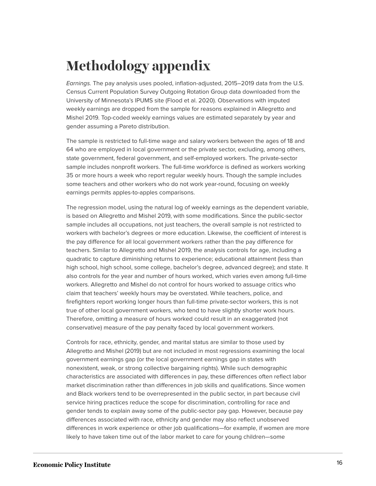# <span id="page-16-0"></span>**Methodology appendix**

Earnings. The pay analysis uses pooled, inflation-adjusted, 2015–2019 data from the U.S. Census Current Population Survey Outgoing Rotation Group data downloaded from the University of Minnesota's IPUMS site (Flood et al. 2020). Observations with imputed weekly earnings are dropped from the sample for reasons explained in Allegretto and Mishel 2019. Top-coded weekly earnings values are estimated separately by year and gender assuming a Pareto distribution.

The sample is restricted to full-time wage and salary workers between the ages of 18 and 64 who are employed in local government or the private sector, excluding, among others, state government, federal government, and self-employed workers. The private-sector sample includes nonprofit workers. The full-time workforce is defined as workers working 35 or more hours a week who report regular weekly hours. Though the sample includes some teachers and other workers who do not work year-round, focusing on weekly earnings permits apples-to-apples comparisons.

The regression model, using the natural log of weekly earnings as the dependent variable, is based on Allegretto and Mishel 2019, with some modifications. Since the public-sector sample includes all occupations, not just teachers, the overall sample is not restricted to workers with bachelor's degrees or more education. Likewise, the coefficient of interest is the pay difference for all local government workers rather than the pay difference for teachers. Similar to Allegretto and Mishel 2019, the analysis controls for age, including a quadratic to capture diminishing returns to experience; educational attainment (less than high school, high school, some college, bachelor's degree, advanced degree); and state. It also controls for the year and number of hours worked, which varies even among full-time workers. Allegretto and Mishel do not control for hours worked to assuage critics who claim that teachers' weekly hours may be overstated. While teachers, police, and firefighters report working longer hours than full-time private-sector workers, this is not true of other local government workers, who tend to have slightly shorter work hours. Therefore, omitting a measure of hours worked could result in an exaggerated (not conservative) measure of the pay penalty faced by local government workers.

Controls for race, ethnicity, gender, and marital status are similar to those used by Allegretto and Mishel (2019) but are not included in most regressions examining the local government earnings gap (or the local government earnings gap in states with nonexistent, weak, or strong collective bargaining rights). While such demographic characteristics are associated with differences in pay, these differences often reflect labor market discrimination rather than differences in job skills and qualifications. Since women and Black workers tend to be overrepresented in the public sector, in part because civil service hiring practices reduce the scope for discrimination, controlling for race and gender tends to explain away some of the public-sector pay gap. However, because pay differences associated with race, ethnicity and gender may also reflect unobserved differences in work experience or other job qualifications—for example, if women are more likely to have taken time out of the labor market to care for young children—some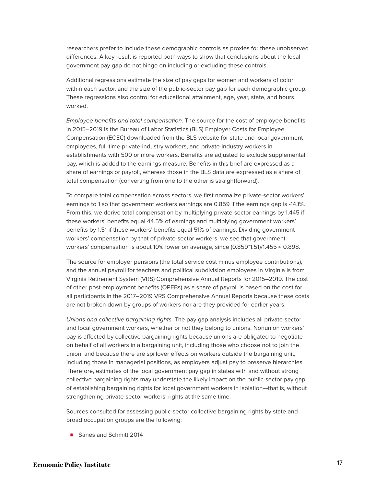researchers prefer to include these demographic controls as proxies for these unobserved differences. A key result is reported both ways to show that conclusions about the local government pay gap do not hinge on including or excluding these controls.

Additional regressions estimate the size of pay gaps for women and workers of color within each sector, and the size of the public-sector pay gap for each demographic group. These regressions also control for educational attainment, age, year, state, and hours worked.

Employee benefits and total compensation. The source for the cost of employee benefits in 2015–2019 is the Bureau of Labor Statistics (BLS) Employer Costs for Employee Compensation (ECEC) downloaded from the BLS website for state and local government employees, full-time private-industry workers, and private-industry workers in establishments with 500 or more workers. Benefits are adjusted to exclude supplemental pay, which is added to the earnings measure. Benefits in this brief are expressed as a share of earnings or payroll, whereas those in the BLS data are expressed as a share of total compensation (converting from one to the other is straightforward).

To compare total compensation across sectors, we first normalize private-sector workers' earnings to 1 so that government workers earnings are 0.859 if the earnings gap is -14.1%. From this, we derive total compensation by multiplying private-sector earnings by 1.445 if these workers' benefits equal 44.5% of earnings and multiplying government workers' benefits by 1.51 if these workers' benefits equal 51% of earnings. Dividing government workers' compensation by that of private-sector workers, we see that government workers' compensation is about 10% lower on average, since (0.859\*1.51)/1.455 ≈ 0.898.

The source for employer pensions (the total service cost minus employee contributions), and the annual payroll for teachers and political subdivision employees in Virginia is from Virginia Retirement System (VRS) Comprehensive Annual Reports for 2015–2019. The cost of other post-employment benefits (OPEBs) as a share of payroll is based on the cost for all participants in the 2017–2019 VRS Comprehensive Annual Reports because these costs are not broken down by groups of workers nor are they provided for earlier years.

Unions and collective bargaining rights. The pay gap analysis includes all private-sector and local government workers, whether or not they belong to unions. Nonunion workers' pay is affected by collective bargaining rights because unions are obligated to negotiate on behalf of all workers in a bargaining unit, including those who choose not to join the union; and because there are spillover effects on workers outside the bargaining unit, including those in managerial positions, as employers adjust pay to preserve hierarchies. Therefore, estimates of the local government pay gap in states with and without strong collective bargaining rights may understate the likely impact on the public-sector pay gap of establishing bargaining rights for local government workers in isolation—that is, without strengthening private-sector workers' rights at the same time.

Sources consulted for assessing public-sector collective bargaining rights by state and broad occupation groups are the following:

**Sanes and Schmitt 2014**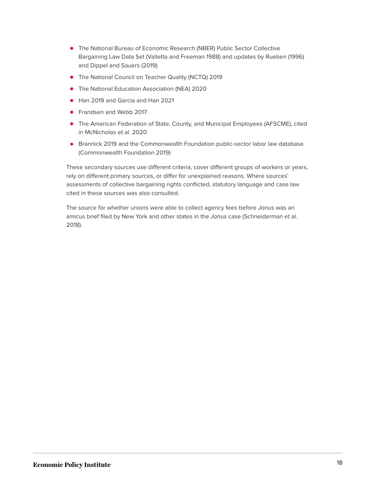- The National Bureau of Economic Research (NBER) Public Sector Collective Bargaining Law Data Set (Valletta and Freeman 1988) and updates by Rueben (1996) and Dippel and Sauers (2019)
- The National Council on Teacher Quality (NCTQ) 2019
- **•** The National Education Association (NEA) 2020
- **Han 2019 and García and Han 2021**
- **•** Frandsen and Webb 2017
- The American Federation of State, County, and Municipal Employees (AFSCME), cited in McNicholas et al. 2020
- **Brannick 2019 and the Commonwealth Foundation public-sector labor law database** (Commonwealth Foundation 2019)

These secondary sources use different criteria, cover different groups of workers or years, rely on different primary sources, or differ for unexplained reasons. Where sources' assessments of collective bargaining rights conflicted, statutory language and case law cited in these sources was also consulted.

The source for whether unions were able to collect agency fees before Janus was an amicus brief filed by New York and other states in the Janus case (Schneiderman et al. 2018).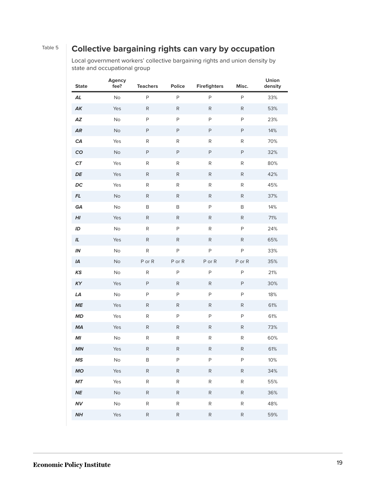### Table 5 **Collective bargaining rights can vary by occupation**

Local government workers' collective bargaining rights and union density by state and occupational group

| <b>State</b>       | Agency<br>fee? | <b>Teachers</b> | Police       | <b>Firefighters</b> | Misc.        | Union<br>density |
|--------------------|----------------|-----------------|--------------|---------------------|--------------|------------------|
| AL                 | No             | $\mathsf P$     | $\mathsf{P}$ | $\mathsf{P}$        | $\sf P$      | 33%              |
| AK                 | Yes            | $\mathsf{R}$    | ${\sf R}$    | $\mathsf{R}$        | $\mathsf{R}$ | 53%              |
| A Z                | No             | $\mathsf P$     | $\mathsf{P}$ | P                   | P            | 23%              |
| <b>AR</b>          | No             | $\sf P$         | $\mathsf{P}$ | $\sf P$             | P            | 14%              |
| CA                 | Yes            | ${\sf R}$       | R            | ${\sf R}$           | R            | 70%              |
| CO                 | No             | $\sf P$         | $\mathsf{P}$ | $\mathsf P$         | $\mathsf{P}$ | 32%              |
| ${\cal C}{\cal T}$ | Yes            | ${\sf R}$       | R            | R                   | R            | 80%              |
| DE                 | Yes            | ${\sf R}$       | ${\sf R}$    | ${\sf R}$           | ${\sf R}$    | 42%              |
| DC                 | Yes            | ${\sf R}$       | R            | R                   | R            | 45%              |
| $\mathsf{FL}$      | No             | $\mathsf{R}$    | $\mathsf{R}$ | $\mathsf{R}$        | $\mathsf{R}$ | 37%              |
| GA                 | No             | B               | B            | P                   | B            | 14%              |
| H                  | Yes            | $\mathsf{R}$    | $\mathsf{R}$ | R                   | $\mathsf{R}$ | 71%              |
| ID                 | No             | ${\sf R}$       | $\mathsf{P}$ | ${\sf R}$           | P            | 24%              |
| IL                 | Yes            | ${\sf R}$       | $\mathsf{R}$ | ${\sf R}$           | $\mathsf{R}$ | 65%              |
| $I\!N$             | No             | ${\sf R}$       | $\mathsf{P}$ | $\mathsf P$         | P            | 33%              |
| IA                 | No             | P or R          | PorR         | PorR                | P or R       | 35%              |
| <b>KS</b>          | No             | $\mathsf{R}$    | $\mathsf{P}$ | $\mathsf{P}$        | P            | 21%              |
| KY                 | Yes            | $\mathsf P$     | R            | $\mathsf{R}$        | P            | 30%              |
| LA                 | No             | $\mathsf P$     | $\mathsf{P}$ | P                   | P            | 18%              |
| ME                 | Yes            | ${\sf R}$       | $\mathsf{R}$ | ${\sf R}$           | $\mathsf{R}$ | 61%              |
| MD                 | Yes            | ${\sf R}$       | $\mathsf{P}$ | $\sf P$             | P            | 61%              |
| <b>MA</b>          | Yes            | ${\sf R}$       | ${\sf R}$    | ${\sf R}$           | ${\sf R}$    | 73%              |
| MI                 | No             | ${\sf R}$       | ${\sf R}$    | ${\sf R}$           | ${\sf R}$    | 60%              |
| MN                 | Yes            | ${\sf R}$       | ${\sf R}$    | R                   | ${\sf R}$    | 61%              |
| <b>MS</b>          | No             | B               | $\mathsf{P}$ | $\mathsf{P}$        | $\mathsf{P}$ | 10%              |
| <b>MO</b>          | Yes            | ${\sf R}$       | ${\sf R}$    | R                   | $\mathsf{R}$ | 34%              |
| $\pmb{M}\pmb{T}$   | Yes            | ${\sf R}$       | ${\sf R}$    | R                   | ${\sf R}$    | 55%              |
| $N\!E$             | No             | R               | ${\sf R}$    | R                   | R            | 36%              |
| <b>NV</b>          | No             | ${\sf R}$       | ${\sf R}$    | ${\sf R}$           | ${\sf R}$    | 48%              |
| NH                 | Yes            | ${\sf R}$       | ${\sf R}$    | ${\sf R}$           | ${\sf R}$    | 59%              |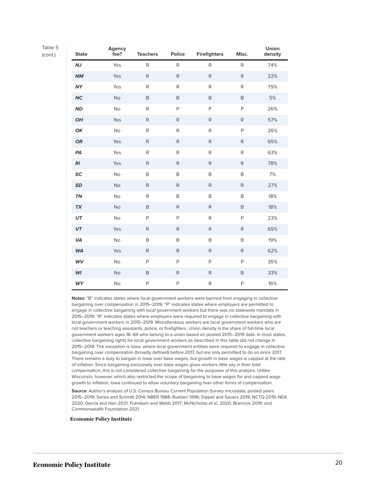Table 5

(cont.)

| <b>State</b> | <b>Agency</b><br>fee? | <b>Teachers</b> | Police       | <b>Firefighters</b> | Misc.        | Union<br>density |
|--------------|-----------------------|-----------------|--------------|---------------------|--------------|------------------|
| NJ           | Yes                   | R               | R            | R                   | R            | 74%              |
| NM           | Yes                   | ${\sf R}$       | $\mathsf{R}$ | $\mathsf R$         | $\mathsf{R}$ | 22%              |
| <b>NY</b>    | Yes                   | ${\sf R}$       | ${\sf R}$    | ${\sf R}$           | ${\sf R}$    | 79%              |
| <b>NC</b>    | <b>No</b>             | B               | $\,$ B       | B                   | $\mathsf B$  | $5%$             |
| <b>ND</b>    | No                    | ${\sf R}$       | P            | $\mathsf{P}$        | P            | 26%              |
| OH           | Yes                   | ${\sf R}$       | ${\sf R}$    | ${\sf R}$           | $\mathsf{R}$ | 57%              |
| OK           | No                    | ${\sf R}$       | ${\sf R}$    | R                   | P            | 26%              |
| <b>OR</b>    | Yes                   | $\mathsf{R}$    | ${\sf R}$    | ${\sf R}$           | $\mathsf{R}$ | 65%              |
| PA           | Yes                   | R               | R            | R                   | $\mathsf{R}$ | 63%              |
| R1           | Yes                   | $\mathsf{R}$    | ${\sf R}$    | ${\sf R}$           | $\mathsf{R}$ | 78%              |
| SC           | No                    | B               | $\,$ B       | $\mathsf B$         | B            | 7%               |
| <b>SD</b>    | <b>No</b>             | ${\sf R}$       | $\mathsf{R}$ | ${\sf R}$           | $\mathsf{R}$ | 27%              |
| TN           | No                    | R               | $\sf B$      | B                   | B            | 18%              |
| <b>TX</b>    | <b>No</b>             | B               | $\mathsf{R}$ | ${\sf R}$           | B            | 18%              |
| UT           | No                    | P               | $\mathsf{P}$ | R                   | P            | 23%              |
| VT           | Yes                   | R               | $\mathsf{R}$ | $\mathsf{R}$        | $\mathsf{R}$ | 65%              |
| VA           | No                    | B               | $\mathsf B$  | $\mathsf B$         | B            | 19%              |
| <b>WA</b>    | Yes                   | R               | $\mathsf{R}$ | $\mathsf{R}$        | $\mathsf{R}$ | 62%              |
| WV           | No                    | P               | $\mathsf{P}$ | $\mathsf{P}$        | P            | 35%              |
| WI           | No                    | B               | ${\sf R}$    | ${\sf R}$           | $\mathsf B$  | 33%              |
| WY           | No                    | P               | P            | ${\sf R}$           | P            | 16%              |

**Notes:** "B" indicates states where local government workers were banned from engaging in collective bargaining over compensation in 2015–2019. "P" indicates states where employers are permitted to engage in collective bargaining with local government workers but there was no statewide mandate in 2015–2019. "R" indicates states where employers were required to engage in collective bargaining with local government workers in 2015–2019. Miscellaneous workers are local government workers who are not teachers or teaching assistants, police, or firefighters. Union density is the share of full-time local government workers ages 18–64 who belong to a union based on pooled 2015–2019 data. In most states, collective bargaining rights for local government workers as described in this table did not change in 2015–2019. The exception is Iowa, where local government entities were required to engage in collective bargaining over compensation (broadly defined) before 2017, but are only permitted to do so since 2017. There remains a duty to bargain in Iowa over base wages, but growth in base wages is capped at the rate of inflation. Since bargaining exclusively over base wages gives workers little say in their total compensation, this is not considered collective bargaining for the purposes of this analysis. Unlike Wisconsin, however, which also restricted the scope of bargaining to base wages for and capped wage growth to inflation, Iowa continued to allow voluntary bargaining over other forms of compensation.

**Source**: Author's analysis of U.S. Census Bureau Current Population Survey microdata, pooled years 2015–2019; Sanes and Schmitt 2014; NBER 1988; Rueben 1996; Dippel and Sauers 2019; NCTQ 2019; NEA 2020; García and Han 2021; Frandsen and Webb 2017; McNicholas et al. 2020; Brannick 2019; and Commonwealth Foundation 2021.

**Economic Policy Institute**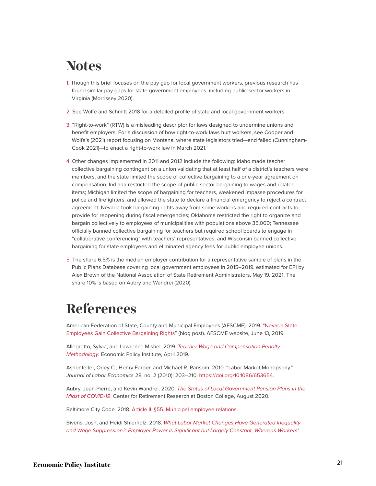### <span id="page-21-0"></span>**Notes**

- <span id="page-21-2"></span>[1.](#page-2-1) Though this brief focuses on the pay gap for local government workers, previous research has found similar pay gaps for state government employees, including public-sector workers in Virginia (Morrissey 2020).
- <span id="page-21-3"></span>[2.](#page-3-0) See Wolfe and Schmitt 2018 for a detailed profile of state and local government workers.
- <span id="page-21-4"></span>[3.](#page-7-0) "Right-to-work" (RTW) is a misleading descriptor for laws designed to undermine unions and benefit employers. For a discussion of how right-to-work laws hurt workers, see Cooper and Wolfe's (2021) report focusing on Montana, where state legislators tried—and failed (Cunningham-Cook 2021)—to enact a right-to-work law in March 2021.
- <span id="page-21-5"></span>[4.](#page-7-1) Other changes implemented in 2011 and 2012 include the following: Idaho made teacher collective bargaining contingent on a union validating that at least half of a district's teachers were members, and the state limited the scope of collective bargaining to a one-year agreement on compensation; Indiana restricted the scope of public-sector bargaining to wages and related items; Michigan limited the scope of bargaining for teachers, weakened impasse procedures for police and firefighters, and allowed the state to declare a financial emergency to reject a contract agreement; Nevada took bargaining rights away from some workers and required contracts to provide for reopening during fiscal emergencies; Oklahoma restricted the right to organize and bargain collectively to employees of municipalities with populations above 35,000; Tennessee officially banned collective bargaining for teachers but required school boards to engage in "collaborative conferencing" with teachers' representatives; and Wisconsin banned collective bargaining for state employees and eliminated agency fees for public employee unions.
- <span id="page-21-6"></span>[5.](#page-13-0) The share 6.5% is the median employer contribution for a representative sample of plans in the Public Plans Database covering local government employees in 2015–2019, estimated for EPI by Alex Brown of the National Association of State Retirement Administrators, May 19, 2021. The share 10% is based on Aubry and Wandrei (2020).

# <span id="page-21-1"></span>**References**

American Federation of State, County and Municipal Employees (AFSCME). 2019. ["Nevada State](https://www.afscme.org/blog/nevada-state-employees-gain-collective-bargaining-rights) [Employees Gain Collective Bargaining Rights"](https://www.afscme.org/blog/nevada-state-employees-gain-collective-bargaining-rights) (blog post). AFSCME website, June 13, 2019.

Allegretto, Sylvia, and Lawrence Mishel. 2019. [Teacher Wage and Compensation Penalty](https://www.epi.org/publication/teacher-wage-and-compensation-penalty-methodology/) [Methodology](https://www.epi.org/publication/teacher-wage-and-compensation-penalty-methodology/). Economic Policy Institute, April 2019.

Ashenfelter, Orley C., Henry Farber, and Michael R. Ransom. 2010. "Labor Market Monopsony." Journal of Labor Economics 28, no. 2 (2010): 203–210. <https://doi.org/10.1086/653654>.

Aubry, Jean-Pierre, and Kevin Wandrei. 2020. [The Status of Local Government Pension Plans in the](https://crr.bc.edu/wp-content/uploads/2020/12/local-plan-funding-aug2020.pdf) [Midst of COVID-19](https://crr.bc.edu/wp-content/uploads/2020/12/local-plan-funding-aug2020.pdf). Center for Retirement Research at Boston College, August 2020.

Baltimore City Code. 2018. [Article II, §55. Municipal employee relations](https://ca.baltimorecity.gov/codes/01%20-%20Charter.pdf#page=59).

Bivens, Josh, and Heidi Shierholz. 2018. [What Labor Market Changes Have Generated Inequality](https://www.epi.org/publication/what-labor-market-changes-have-generated-inequality-and-wage-suppression-employer-power-is-significant-but-largely-constant-whereas-workers-power-has-been-eroded-by-policy-actions/) [and Wage Suppression?: Employer Power Is Significant but Largely Constant, Whereas Workers'](https://www.epi.org/publication/what-labor-market-changes-have-generated-inequality-and-wage-suppression-employer-power-is-significant-but-largely-constant-whereas-workers-power-has-been-eroded-by-policy-actions/)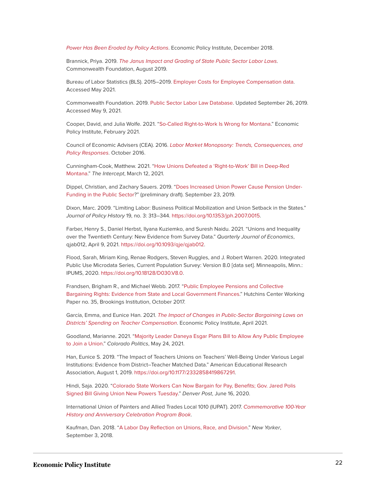[Power Has Been Eroded by Policy Actions](https://www.epi.org/publication/what-labor-market-changes-have-generated-inequality-and-wage-suppression-employer-power-is-significant-but-largely-constant-whereas-workers-power-has-been-eroded-by-policy-actions/). Economic Policy Institute, December 2018.

Brannick, Priya. 2019. [The Janus Impact and Grading of State Public Sector Labor Laws](https://www.commonwealthfoundation.org/policyblog/detail/the-janus-impact-and-grading-of-state-public-sector-labor-laws). Commonwealth Foundation, August 2019.

Bureau of Labor Statistics (BLS). 2015–2019. [Employer Costs for Employee Compensation data](https://www.bls.gov/ncs/ect/). Accessed May 2021.

Commonwealth Foundation. 2019. [Public Sector Labor Law Database](https://www.commonwealthfoundation.org/state_labor_laws/). Updated September 26, 2019. Accessed May 9, 2021.

Cooper, David, and Julia Wolfe. 2021. "[So-Called Right-to-Work Is Wrong for Montana.](https://www.epi.org/publication/so-called-right-to-work-is-wrong-for-montana/)" Economic Policy Institute, February 2021.

Council of Economic Advisers (CEA). 2016. [Labor Market Monopsony: Trends, Consequences, and](https://obamawhitehouse.archives.gov/sites/default/files/page/files/20161025_monopsony_labor_mrkt_cea.pdf) [Policy Responses](https://obamawhitehouse.archives.gov/sites/default/files/page/files/20161025_monopsony_labor_mrkt_cea.pdf). October 2016.

Cunningham-Cook, Matthew. 2021. ["How Unions Defeated a 'Right-to-Work' Bill in Deep-Red](https://theintercept.com/2021/03/12/union-right-to-work-montana/) [Montana.](https://theintercept.com/2021/03/12/union-right-to-work-montana/)" The Intercept, March 12, 2021.

Dippel, Christian, and Zachary Sauers. 2019. "[Does Increased Union Power Cause Pension Under-](https://christiandippel.com/Benefits_Unions.pdf)[Funding in the Public Sector?](https://christiandippel.com/Benefits_Unions.pdf)" (preliminary draft). September 23, 2019.

Dixon, Marc. 2009. "Limiting Labor: Business Political Mobilization and Union Setback in the States." Journal of Policy History 19, no. 3: 313–344. <https://doi.org/10.1353/jph.2007.0015>.

Farber, Henry S., Daniel Herbst, Ilyana Kuziemko, and Suresh Naidu. 2021. "Unions and Inequality over the Twentieth Century: New Evidence from Survey Data." Quarterly Journal of Economics, qjab012, April 9, 2021. <https://doi.org/10.1093/qje/qjab012>.

Flood, Sarah, Miriam King, Renae Rodgers, Steven Ruggles, and J. Robert Warren. 2020. Integrated Public Use Microdata Series, Current Population Survey: Version 8.0 [data set]. Minneapolis, Minn.: IPUMS, 2020. [https://doi.org/10.18128/D030.V8.0.](https://doi.org/10.18128/D030.V8.0)

Frandsen, Brigham R., and Michael Webb. 2017. "[Public Employee Pensions and Collective](https://www.brookings.edu/wp-content/uploads/2017/10/wp35-frandsen1.pdf) [Bargaining Rights: Evidence from State and Local Government Finances.](https://www.brookings.edu/wp-content/uploads/2017/10/wp35-frandsen1.pdf)" Hutchins Center Working Paper no. 35, Brookings Institution, October 2017.

García, Emma, and Eunice Han. 2021. [The Impact of Changes in Public-Sector Bargaining Laws on](https://www.epi.org/publication/the-impact-of-changes-in-public-sector-bargaining-laws-on-districts-spending-on-teacher-compensation/) [Districts' Spending on Teacher Compensation](https://www.epi.org/publication/the-impact-of-changes-in-public-sector-bargaining-laws-on-districts-spending-on-teacher-compensation/). Economic Policy Institute, April 2021.

Goodland, Marianne. 2021. ["Majority Leader Daneya Esgar Plans Bill to Allow Any Public Employee](https://www.coloradopolitics.com/legislature/majority-leader-daneya-esgar-plans-bill-to-allow-any-public-employee-to-join-a-union/article_3fc6ca12-a76f-11eb-bebb-4b3f3e5bd8e3.html) [to Join a Union](https://www.coloradopolitics.com/legislature/majority-leader-daneya-esgar-plans-bill-to-allow-any-public-employee-to-join-a-union/article_3fc6ca12-a76f-11eb-bebb-4b3f3e5bd8e3.html)." Colorado Politics, May 24, 2021.

Han, Eunice S. 2019. "The Impact of Teachers Unions on Teachers' Well-Being Under Various Legal Institutions: Evidence from District–Teacher Matched Data." American Educational Research Association, August 1, 2019. <https://doi.org/10.1177/2332858419867291>.

Hindi, Saja. 2020. ["Colorado State Workers Can Now Bargain for Pay, Benefits; Gov. Jared Polis](https://www.denverpost.com/2020/06/16/colorado-emplyees-union-collective-bargaining/) [Signed Bill Giving Union New Powers Tuesday.](https://www.denverpost.com/2020/06/16/colorado-emplyees-union-collective-bargaining/)" Denver Post, June 16, 2020.

International Union of Painters and Allied Trades Local 1010 (IUPAT). 2017. [Commemorative 100-Year](https://www.unionhistories.com/images/uploads/books/pdf/iupat-1010-history-book-web.pdf) [History and Anniversary Celebration Program Book](https://www.unionhistories.com/images/uploads/books/pdf/iupat-1010-history-book-web.pdf).

Kaufman, Dan. 2018. ["A Labor Day Reflection on Unions, Race, and Division](https://www.newyorker.com/news/daily-comment/a-labor-day-reflection-on-race-and-unions)." New Yorker, September 3, 2018.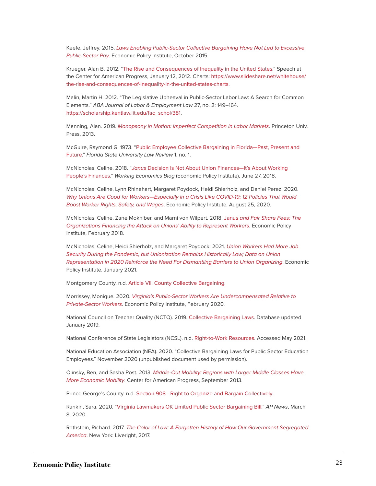Keefe, Jeffrey. 2015. [Laws Enabling Public-Sector Collective Bargaining Have Not Led to Excessive](https://www.epi.org/publication/laws-enabling-public-sector-collective-bargaining-have-not-led-to-excessive-public-sector-pay/) [Public-Sector Pay](https://www.epi.org/publication/laws-enabling-public-sector-collective-bargaining-have-not-led-to-excessive-public-sector-pay/). Economic Policy Institute, October 2015.

Krueger, Alan B. 2012. ["The Rise and Consequences of Inequality in the United States.](https://obamawhitehouse.archives.gov/sites/default/files/krueger_cap_speech_final_remarks.pdf)" Speech at the Center for American Progress, January 12, 2012. Charts: [https://www.slideshare.net/whitehouse/](https://www.slideshare.net/whitehouse/the-rise-and-consequences-of-inequality-in-the-united-states-charts) [the-rise-and-consequences-of-inequality-in-the-united-states-charts](https://www.slideshare.net/whitehouse/the-rise-and-consequences-of-inequality-in-the-united-states-charts).

Malin, Martin H. 2012. "The Legislative Upheaval in Public-Sector Labor Law: A Search for Common Elements." ABA Journal of Labor & Employment Law 27, no. 2: 149–164. [https://scholarship.kentlaw.iit.edu/fac\\_schol/381](https://scholarship.kentlaw.iit.edu/fac_schol/381).

Manning, Alan. 2019. [Monopsony in Motion: Imperfect Competition in Labor Markets](https://press.princeton.edu/books/paperback/9780691123288/monopsony-in-motion). Princeton Univ. Press, 2013.

McGuire, Raymond G. 1973. "[Public Employee Collective Bargaining in Florida—Past, Present and](https://ir.law.fsu.edu/cgi/viewcontent.cgi?article=1696&context=lr) [Future.](https://ir.law.fsu.edu/cgi/viewcontent.cgi?article=1696&context=lr)" Florida State University Law Review 1, no. 1.

McNicholas, Celine. 2018. "Janus Decision Is Not About Union Finances-It's About Working [People's Finances](https://www.epi.org/blog/janus-decision-is-not-about-union-finances-its-about-working-peoples-finances/)." Working Economics Blog (Economic Policy Institute), June 27, 2018.

McNicholas, Celine, Lynn Rhinehart, Margaret Poydock, Heidi Shierholz, and Daniel Perez. 2020. [Why Unions Are Good for Workers—Especially in a Crisis Like COVID-19; 12 Policies That Would](https://www.epi.org/publication/why-unions-are-good-for-workers-especially-in-a-crisis-like-covid-19-12-policies-that-would-boost-worker-rights-safety-and-wages/?utm_source=Economic+Policy+Institute&utm_campaign=b4c99c9d01-EMAIL_CAMPAIGN_2019_02_21_07_37_COPY_01&utm_medium=email&utm_term=0_e7c5826c50-b4c99c9d01-55958357&mc_cid=b4c99c9d01&mc_eid=4aa04ef33f#Map) [Boost Worker Rights, Safety, and Wages](https://www.epi.org/publication/why-unions-are-good-for-workers-especially-in-a-crisis-like-covid-19-12-policies-that-would-boost-worker-rights-safety-and-wages/?utm_source=Economic+Policy+Institute&utm_campaign=b4c99c9d01-EMAIL_CAMPAIGN_2019_02_21_07_37_COPY_01&utm_medium=email&utm_term=0_e7c5826c50-b4c99c9d01-55958357&mc_cid=b4c99c9d01&mc_eid=4aa04ef33f#Map). Economic Policy Institute, August 25, 2020.

McNicholas, Celine, Zane Mokhiber, and Marni von Wilpert. 2018. Janus [and Fair Share Fees: The](https://www.epi.org/publication/janus-and-fair-share-fees-the-organizations-financing-the-attack-on-unions-ability-to-represent-workers/) [Organizations Financing the Attack on Unions' Ability to Represent Workers](https://www.epi.org/publication/janus-and-fair-share-fees-the-organizations-financing-the-attack-on-unions-ability-to-represent-workers/). Economic Policy Institute, February 2018.

McNicholas, Celine, Heidi Shierholz, and Margaret Poydock. 2021. [Union Workers Had More Job](https://www.epi.org/publication/union-workers-had-more-job-security-during-the-pandemic-but-unionization-remains-historically-low-data-on-union-representation-in-2020-reinforce-the-need-for-dismantling-barriers-to-union-organizing/) [Security During the Pandemic, but Unionization Remains Historically Low; Data on Union](https://www.epi.org/publication/union-workers-had-more-job-security-during-the-pandemic-but-unionization-remains-historically-low-data-on-union-representation-in-2020-reinforce-the-need-for-dismantling-barriers-to-union-organizing/) [Representation in 2020 Reinforce the Need For Dismantling Barriers to Union Organizing](https://www.epi.org/publication/union-workers-had-more-job-security-during-the-pandemic-but-unionization-remains-historically-low-data-on-union-representation-in-2020-reinforce-the-need-for-dismantling-barriers-to-union-organizing/). Economic Policy Institute, January 2021.

Montgomery County. n.d. [Article VII. County Collective Bargaining](https://www.montgomerycountymd.gov/HR/Resources/Files/Labor/County%20Bargaining%20Law.pdf).

Morrissey, Monique. 2020. [Virginia's Public-Sector Workers Are Undercompensated Relative to](https://www.epi.org/press/virginias-public-sector-workers-are-under-compensated-relative-to-private-sector-workers/) [Private-Sector Workers](https://www.epi.org/press/virginias-public-sector-workers-are-under-compensated-relative-to-private-sector-workers/). Economic Policy Institute, February 2020.

National Council on Teacher Quality (NCTQ). 2019. [Collective Bargaining Laws.](https://www.nctq.org/contract-database/collectiveBargaining) Database updated January 2019.

National Conference of State Legislators (NCSL). n.d. [Right-to-Work Resources](https://www.ncsl.org/research/labor-and-employment/right-to-work-laws-and-bills.aspx). Accessed May 2021.

National Education Association (NEA). 2020. "Collective Bargaining Laws for Public Sector Education Employees." November 2020 (unpublished document used by permission).

Olinsky, Ben, and Sasha Post. 2013. [Middle-Out Mobility: Regions with Larger Middle Classes Have](https://www.americanprogress.org/wp-content/uploads/2013/08/MiddleOutMobility.pdf) [More Economic Mobility](https://www.americanprogress.org/wp-content/uploads/2013/08/MiddleOutMobility.pdf). Center for American Progress, September 2013.

Prince George's County. n.d. [Section 908—Right to Organize and Bargain Collectively.](https://library.municode.com/md/prince_george)

Rankin, Sara. 2020. ["Virginia Lawmakers OK Limited Public Sector Bargaining Bill.](https://apnews.com/article/6559ad8943dd4d1c22e519d27530c2f0)" AP News, March 8, 2020.

Rothstein, Richard. 2017. [The Color of Law: A Forgotten History of How Our Government Segregated](https://www.epi.org/publication/the-color-of-law-a-forgotten-history-of-how-our-government-segregated-america/) [America](https://www.epi.org/publication/the-color-of-law-a-forgotten-history-of-how-our-government-segregated-america/). New York: Liveright, 2017.